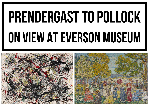## Prendergast to Pollock On View At Everson Museum

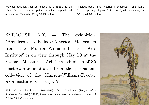Previous page left: Jackson Pollock (1912–1956), No. 34, 1949, Oil and enamel paint on white paper-board, mounted on Masonite, 22 by 30 1/2 inches.

Previous page right: Maurice Prendergast (1858–1924, "Landscape with Figures," circa 1912, oil on canvas, 29 5/8 by 42 7/8 inches.

SYRACUSE, N.Y. - The exhibition, ?Prendergast to Pollock: American Modernism from the Munson-Williams-Proctor Arts Institute? is on view through May 10 at the Everson Museum of Art. The exhibition of 35 masterworks is drawn from the permanent collection of the Munson-Williams-Proctor Arts Institute in Utica, N.Y.

Right: Charles Burchfield (1893–1967), "Dead Sunflower (Portrait of a Sunflower; Cornfield)," 1916, transparent watercolor on watercolor paper, 19 7/8 by 13 15/16 inches.

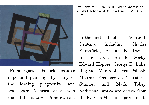

?Prendergast to Pollock? features important paintings by many of the leading progressive and avant-garde American artists who shaped the history of American art the Everson Museum?s permanent

Ilya Bolotowsky (1907-1981), "Marine Variation no. 2," circa 1940-42, oil on Masonite, 11 by 13 1/4 inches.

in the first half of the Twentieth Century, including Charles Burchfield, Arthur B. Davies, Arthur Dove, Arshile Gorky, Edward Hopper, George B. Luks, Reginald Marsh, Jackson Pollock, Maurice Prendergast, Theodoros Stamos, and Mark Tobey. Additional works are drawn from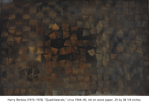

Harry Bertoia (1915-1978, "Quadrilaterals," circa 1944-45, ink on wove paper, 25 by 38 1/4 inches.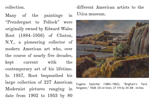collection.

Many of the paintings in ?Prendergast to Pollock? were originally owned by Edward Wales Root  $(1884-1956)$  of Clinton, N.Y., a pioneering collector of modern American art who, over the course of nearly five decades, kept current with the contemporary art of his lifetime. In 1957, Root bequeathed his large collection of 227 American Modernist pictures ranging in date from 1902 to 1953 by 80

different American artists to the Utica museum.



Eugene Speicher (1883-1962), "Brigham's Yard, **Kingston,? 1928. Oil on linen, 27 1/4 by 34 3/8 inches.**